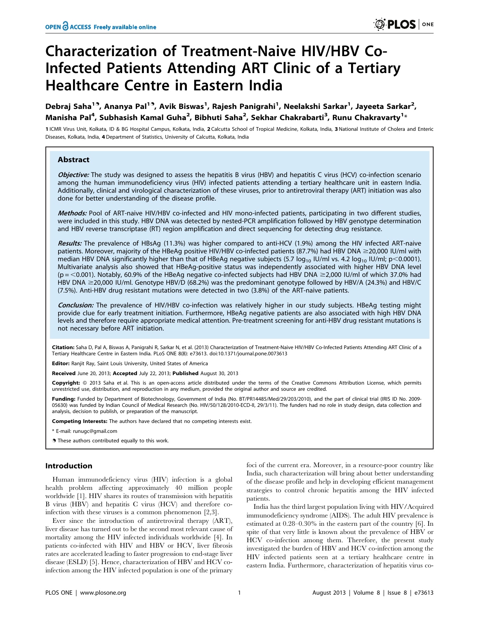# Characterization of Treatment-Naive HIV/HBV Co-Infected Patients Attending ART Clinic of a Tertiary Healthcare Centre in Eastern India

Debraj Saha<sup>19</sup>, Ananya Pal<sup>19</sup>, Avik Biswas<sup>1</sup>, Rajesh Panigrahi<sup>1</sup>, Neelakshi Sarkar<sup>1</sup>, Jayeeta Sarkar<sup>2</sup>, Manisha Pal<sup>4</sup>, Subhasish Kamal Guha<sup>2</sup>, Bibhuti Saha<sup>2</sup>, Sekhar Chakrabarti<sup>3</sup>, Runu Chakravarty<sup>1</sup>\*

1 ICMR Virus Unit, Kolkata, ID & BG Hospital Campus, Kolkata, India, 2 Calcutta School of Tropical Medicine, Kolkata, India, 3 National Institute of Cholera and Enteric Diseases, Kolkata, India, 4 Department of Statistics, University of Calcutta, Kolkata, India

## **Abstract**

Objective: The study was designed to assess the hepatitis B virus (HBV) and hepatitis C virus (HCV) co-infection scenario among the human immunodeficiency virus (HIV) infected patients attending a tertiary healthcare unit in eastern India. Additionally, clinical and virological characterization of these viruses, prior to antiretroviral therapy (ART) initiation was also done for better understanding of the disease profile.

Methods: Pool of ART-naive HIV/HBV co-infected and HIV mono-infected patients, participating in two different studies, were included in this study. HBV DNA was detected by nested-PCR amplification followed by HBV genotype determination and HBV reverse transcriptase (RT) region amplification and direct sequencing for detecting drug resistance.

Results: The prevalence of HBsAg (11.3%) was higher compared to anti-HCV (1.9%) among the HIV infected ART-naive patients. Moreover, majority of the HBeAg positive HIV/HBV co-infected patients (87.7%) had HBV DNA  $\geq$ 20,000 IU/ml with median HBV DNA significantly higher than that of HBeAg negative subjects (5.7 log<sub>10</sub> IU/ml vs. 4.2 log<sub>10</sub> IU/ml; p<0.0001). Multivariate analysis also showed that HBeAg-positive status was independently associated with higher HBV DNA level  $(p = 0.001)$ . Notably, 60.9% of the HBeAg negative co-infected subjects had HBV DNA  $\geq$ 2,000 IU/ml of which 37.0% had HBV DNA  $\geq$ 20,000 IU/ml. Genotype HBV/D (68.2%) was the predominant genotype followed by HBV/A (24.3%) and HBV/C (7.5%). Anti-HBV drug resistant mutations were detected in two (3.8%) of the ART-naive patients.

Conclusion: The prevalence of HIV/HBV co-infection was relatively higher in our study subjects. HBeAg testing might provide clue for early treatment initiation. Furthermore, HBeAg negative patients are also associated with high HBV DNA levels and therefore require appropriate medical attention. Pre-treatment screening for anti-HBV drug resistant mutations is not necessary before ART initiation.

Citation: Saha D, Pal A, Biswas A, Panigrahi R, Sarkar N, et al. (2013) Characterization of Treatment-Naive HIV/HBV Co-Infected Patients Attending ART Clinic of a Tertiary Healthcare Centre in Eastern India. PLoS ONE 8(8): e73613. doi:10.1371/journal.pone.0073613

Editor: Ranjit Ray, Saint Louis University, United States of America

Received June 20, 2013; Accepted July 22, 2013; Published August 30, 2013

Copyright: @ 2013 Saha et al. This is an open-access article distributed under the terms of the Creative Commons Attribution License, which permits unrestricted use, distribution, and reproduction in any medium, provided the original author and source are credited.

Funding: Funded by Department of Biotechnology, Government of India (No. BT/PR14485/Med/29/203/2010), and the part of clinical trial (IRIS ID No. 2009-05630) was funded by Indian Council of Medical Research (No. HIV/50/128/2010-ECD-II, 29/3/11). The funders had no role in study design, data collection and analysis, decision to publish, or preparation of the manuscript.

Competing Interests: The authors have declared that no competing interests exist.

\* E-mail: runugc@gmail.com

. These authors contributed equally to this work.

## Introduction

Human immunodeficiency virus (HIV) infection is a global health problem affecting approximately 40 million people worldwide [1]. HIV shares its routes of transmission with hepatitis B virus (HBV) and hepatitis C virus (HCV) and therefore coinfection with these viruses is a common phenomenon [2,3].

Ever since the introduction of antiretroviral therapy (ART), liver disease has turned out to be the second most relevant cause of mortality among the HIV infected individuals worldwide [4]. In patients co-infected with HIV and HBV or HCV, liver fibrosis rates are accelerated leading to faster progression to end-stage liver disease (ESLD) [5]. Hence, characterization of HBV and HCV coinfection among the HIV infected population is one of the primary foci of the current era. Moreover, in a resource-poor country like India, such characterization will bring about better understanding of the disease profile and help in developing efficient management strategies to control chronic hepatitis among the HIV infected patients.

India has the third largest population living with HIV/Acquired immunodeficiency syndrome (AIDS). The adult HIV prevalence is estimated at 0.28–0.30% in the eastern part of the country [6]. In spite of that very little is known about the prevalence of HBV or HCV co-infection among them. Therefore, the present study investigated the burden of HBV and HCV co-infection among the HIV infected patients seen at a tertiary healthcare centre in eastern India. Furthermore, characterization of hepatitis virus co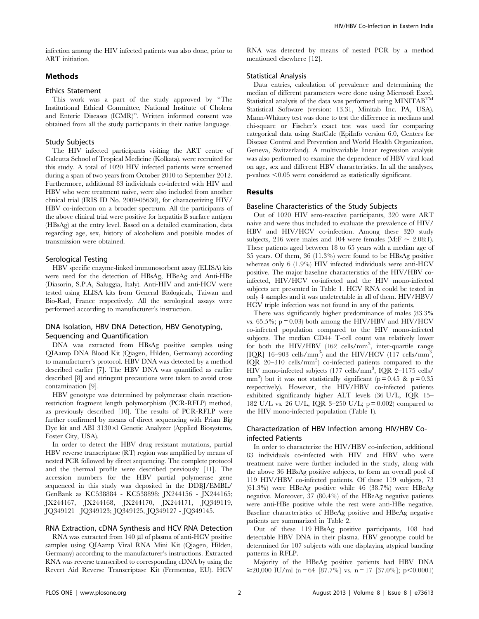infection among the HIV infected patients was also done, prior to ART initiation.

# Methods

## Ethics Statement

This work was a part of the study approved by ''The Institutional Ethical Committee, National Institute of Cholera and Enteric Diseases (ICMR)''. Written informed consent was obtained from all the study participants in their native language.

#### Study Subjects

The HIV infected participants visiting the ART centre of Calcutta School of Tropical Medicine (Kolkata), were recruited for this study. A total of 1020 HIV infected patients were screened during a span of two years from October 2010 to September 2012. Furthermore, additional 83 individuals co-infected with HIV and HBV who were treatment naive, were also included from another clinical trial (IRIS ID No. 2009-05630), for characterizing HIV/ HBV co-infection on a broader spectrum. All the participants of the above clinical trial were positive for hepatitis B surface antigen (HBsAg) at the entry level. Based on a detailed examination, data regarding age, sex, history of alcoholism and possible modes of transmission were obtained.

#### Serological Testing

HBV specific enzyme-linked immunosorbent assay (ELISA) kits were used for the detection of HBsAg, HBeAg and Anti-HBe (Diasorin, S.P.A, Saluggia, Italy). Anti-HIV and anti-HCV were tested using ELISA kits from General Biologicals, Taiwan and Bio-Rad, France respectively. All the serological assays were performed according to manufacturer's instruction.

## DNA Isolation, HBV DNA Detection, HBV Genotyping, Sequencing and Quantification

DNA was extracted from HBsAg positive samples using QIAamp DNA Blood Kit (Qiagen, Hilden, Germany) according to manufacturer's protocol. HBV DNA was detected by a method described earlier [7]. The HBV DNA was quantified as earlier described [8] and stringent precautions were taken to avoid cross contamination [9].

HBV genotype was determined by polymerase chain reactionrestriction fragment length polymorphism (PCR-RFLP) method, as previously described [10]. The results of PCR-RFLP were further confirmed by means of direct sequencing with Prism Big Dye kit and ABI 3130×l Genetic Analyzer (Applied Biosystems, Foster City, USA).

In order to detect the HBV drug resistant mutations, partial HBV reverse transcriptase (RT) region was amplified by means of nested PCR followed by direct sequencing. The complete protocol and the thermal profile were described previously [11]. The accession numbers for the HBV partial polymerase gene sequenced in this study was deposited in the DDBJ/EMBL/ GenBank as KC538884 - KC538898; JX244156 - JX244165; JX244167, JX244168, JX244170, JX244171, JQ349119, JQ349121– JQ349123; JQ349125, JQ349127 - JQ349145.

## RNA Extraction, cDNA Synthesis and HCV RNA Detection

RNA was extracted from 140 µl of plasma of anti-HCV positive samples using QIAamp Viral RNA Mini Kit (Qiagen, Hilden, Germany) according to the manufacturer's instructions. Extracted RNA was reverse transcribed to corresponding cDNA by using the Revert Aid Reverse Transcriptase Kit (Fermentas, EU). HCV RNA was detected by means of nested PCR by a method mentioned elsewhere [12].

#### Statistical Analysis

Data entries, calculation of prevalence and determining the median of different parameters were done using Microsoft Excel. Statistical analysis of the data was performed using MINITABTM Statistical Software (version: 13.31, Minitab Inc. PA, USA). Mann-Whitney test was done to test the difference in medians and chi-square or Fischer's exact test was used for comparing categorical data using StatCalc (EpiInfo version 6.0, Centers for Disease Control and Prevention and World Health Organization, Geneva, Switzerland). A multivariable linear regression analysis was also performed to examine the dependence of HBV viral load on age, sex and different HBV characteristics. In all the analyses,  $p$ -values  $< 0.05$  were considered as statistically significant.

## Results

#### Baseline Characteristics of the Study Subjects

Out of 1020 HIV sero-reactive participants, 320 were ART naive and were thus included to evaluate the prevalence of HIV/ HBV and HIV/HCV co-infection. Among these 320 study subjects, 216 were males and 104 were females  $(M: F \sim 2.08:1)$ . These patients aged between 18 to 65 years with a median age of 35 years. Of them, 36 (11.3%) were found to be HBsAg positive whereas only 6 (1.9%) HIV infected individuals were anti-HCV positive. The major baseline characteristics of the HIV/HBV coinfected, HIV/HCV co-infected and the HIV mono-infected subjects are presented in Table 1. HCV RNA could be tested in only 4 samples and it was undetectable in all of them. HIV/HBV/ HCV triple infection was not found in any of the patients.

There was significantly higher predominance of males (83.3% vs.  $65.5\%$ ;  $p = 0.03$ ) both among the HIV/HBV and HIV/HCV co-infected population compared to the HIV mono-infected subjects. The median CD4+ T-cell count was relatively lower for both the HIV/HBV (162 cells/mm<sup>3</sup>, inter-quartile range [IQR]  $16-903$  cells/mm<sup>3</sup>) and the HIV/HCV (117 cells/mm<sup>3</sup>, IQR 20–310 cells/mm<sup>3</sup> ) co-infected patients compared to the HIV mono-infected subjects (177 cells/mm<sup>3</sup> , IQR 2–1175 cells/ mm<sup>3</sup>) but it was not statistically significant ( $p = 0.45$  &  $p = 0.35$ respectively). However, the HIV/HBV co-infected patients exhibited significantly higher ALT levels (36 U/L, IQR 15– 182 U/L vs. 26 U/L, IQR 3-250 U/L;  $p = 0.002$  compared to the HIV mono-infected population (Table 1).

# Characterization of HBV Infection among HIV/HBV Coinfected Patients

In order to characterize the HIV/HBV co-infection, additional 83 individuals co-infected with HIV and HBV who were treatment naive were further included in the study, along with the above 36 HBsAg positive subjects, to form an overall pool of 119 HIV/HBV co-infected patients. Of these 119 subjects, 73 (61.3%) were HBeAg positive while 46 (38.7%) were HBeAg negative. Moreover, 37 (80.4%) of the HBeAg negative patients were anti-HBe positive while the rest were anti-HBe negative. Baseline characteristics of HBeAg positive and HBeAg negative patients are summarized in Table 2.

Out of these 119 HBsAg positive participants, 108 had detectable HBV DNA in their plasma. HBV genotype could be determined for 107 subjects with one displaying atypical banding patterns in RFLP.

Majority of the HBeAg positive patients had HBV DNA  $\geq$ 20,000 IU/ml (n = 64 [87.7%] vs. n = 17 [37.0%]; p<0.0001)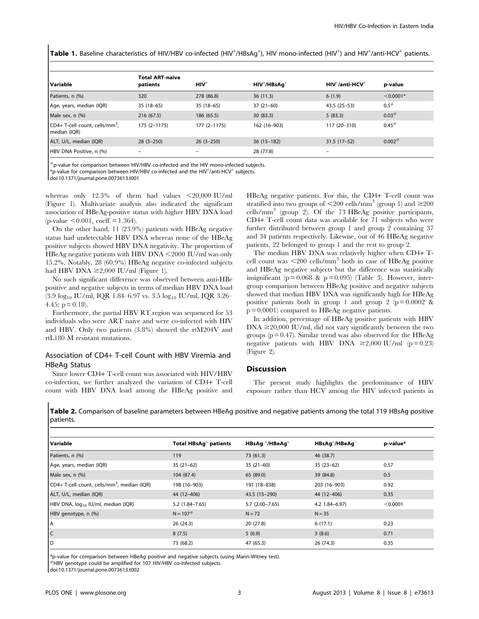Table 1. Baseline characteristics of HIV/HBV co-infected (HIV<sup>+</sup>/HBsAg<sup>+</sup>), HIV mono-infected (HIV<sup>+</sup>) and HIV<sup>+</sup>/anti-HCV<sup>+</sup> patients.

| Variable                                                   | <b>Total ART-naive</b><br>patients | $HIV+$          | $HIV^+/HBSAq^+$ | $HIV^+$ /anti-HCV <sup>+</sup> | p-value              |
|------------------------------------------------------------|------------------------------------|-----------------|-----------------|--------------------------------|----------------------|
| Patients, n (%)                                            | 320                                | 278 (86.8)      | 36(11.3)        | 6(1.9)                         | $< 0.0001*$          |
| Age, years, median (IQR)                                   | $35(18-65)$                        | $35(18-65)$     | $37(21-60)$     | $43.5(25-53)$                  | $0.5^{#}$            |
| Male sex, n (%)                                            | 216(67.5)                          | 186 (65.5)      | 30(83.3)        | 5(83.3)                        | 0.03#                |
| CD4+ T-cell count, cells/mm <sup>3</sup> ,<br>median (IQR) | 175 (2-1175)                       | $177(2 - 1175)$ | 162 (16-903)    | 117 (20-310)                   | 0.45#                |
| ALT, U/L, median (IQR)                                     | $28(3 - 250)$                      | $26(3-250)$     | $36(15-182)$    | $31.5(17-52)$                  | $0.002$ <sup>#</sup> |
| HBV DNA Positive, n (%)                                    |                                    |                 | 28 (77.8)       |                                |                      |

 $^{\#}$ p-value for comparison between HIV/HBV co-infected and the HIV mono-infected subjects.

 $*$ p-value for comparison between HIV/HBV co-infected and the HIV<sup>+</sup>/anti-HCV<sup>+</sup> subjects.

doi:10.1371/journal.pone.0073613.t001

whereas only  $12.3\%$  of them had values <20,000 IU/ml (Figure 1). Multivariate analysis also indicated the significant association of HBeAg-positive status with higher HBV DNA load  $(p-value < 0.001, coeff. = 1.364).$ 

On the other hand, 11 (23.9%) patients with HBeAg negative status had undetectable HBV DNA whereas none of the HBeAg positive subjects showed HBV DNA negativity. The proportion of HBeAg negative patients with HBV DNA  $\leq$ 2000 IU/ml was only 15.2%. Notably, 28 (60.9%) HBeAg negative co-infected subjects had HBV DNA  $\geq$ 2,000 IU/ml (Figure 1).

No such significant difference was observed between anti-HBe positive and negative subjects in terms of median HBV DNA load  $(3.9 \log_{10} I U/ml$ , IQR 1.84–6.97 vs. 3.5  $\log_{10} I U/ml$ , IQR 3.26– 4.45;  $p = 0.18$ ).

Furthermore, the partial HBV RT region was sequenced for 53 individuals who were ART naive and were co-infected with HIV and HBV. Only two patients (3.8%) showed the rtM204V and rtL180 M resistant mutations.

# Association of CD4+ T-cell Count with HBV Viremia and HBeAg Status

Since lower CD4+ T-cell count was associated with HIV/HBV co-infection, we further analyzed the variation of CD4+ T-cell count with HBV DNA load among the HBeAg positive and HBeAg negative patients. For this, the CD4+ T-cell count was stratified into two groups of  $\leq 200$  cells/mm<sup>3</sup> (group 1) and  $\geq 200$ cells/mm<sup>3</sup> (group 2). Of the 73 HBeAg positive participants, CD4+ T-cell count data was available for 71 subjects who were further distributed between group 1 and group 2 containing 37 and 34 patients respectively. Likewise, out of 46 HBeAg negative patients, 22 belonged to group 1 and the rest to group 2.

The median HBV DNA was relatively higher when CD4+ Tcell count was  $\leq 200$  cells/mm<sup>3</sup> both in case of HBeAg positive and HBeAg negative subjects but the difference was statistically insignificant ( $p = 0.068$  &  $p = 0.095$ ) (Table 3). However, intergroup comparison between HBeAg positive and negative subjects showed that median HBV DNA was significantly high for HBeAg positive patients both in group 1 and group 2 ( $p = 0.0002$  & p = 0.0001) compared to HBeAg negative patients.

In addition, percentage of HBeAg positive patients with HBV  $DNA \geq 20,000$  IU/ml, did not vary significantly between the two groups ( $p = 0.47$ ). Similar trend was also observed for the HBeAg negative patients with HBV DNA  $\geq 2,000$  IU/ml (p = 0.23) (Figure 2).

## **Discussion**

The present study highlights the predominance of HBV exposure rather than HCV among the HIV infected patients in

Table 2. Comparison of baseline parameters between HBeAg positive and negative patients among the total 119 HBsAg positive patients.

| Variable                                                | Total HBsAg <sup>+</sup> patients | $HBSAq$ $^+/HBeAq^+$ | $HBSAq^+/HBeAq^-$ | p-value* |  |
|---------------------------------------------------------|-----------------------------------|----------------------|-------------------|----------|--|
| Patients, n (%)                                         | 119                               | 73 (61.3)            | 46 (38.7)         |          |  |
| Age, years, median (IQR)                                | $35(21-62)$                       | $35(21-60)$          | $35(23-62)$       | 0.57     |  |
| Male sex, n (%)                                         | 104 (87.4)                        | 65 (89.0)            | 39 (84.8)         | 0.5      |  |
| CD4+ T-cell count, cells/mm <sup>3</sup> , median (IQR) | 198 (16-903)                      | 191 (18-838)         | 203 (16-903)      | 0.92     |  |
| ALT, U/L, median (IQR)                                  | 44 (12-406)                       | 43.5 (15-290)        | 44 (12-406)       | 0.35     |  |
| HBV DNA, log <sub>10</sub> IU/ml, median (IQR)          | $5.2(1.84 - 7.65)$                | $5.7(2.00 - 7.65)$   | 4.2 1.84-6.97)    | < 0.0001 |  |
| HBV genotype, n (%)                                     | $N = 107$ <sup>#</sup>            | $N = 72$             | $N = 35$          |          |  |
| ΙA                                                      | 26(24.3)                          | 20 (27.8)            | 6(17.1)           | 0.23     |  |
| $\overline{\mathsf{C}}$                                 | 8(7.5)                            | 5(6.9)               | 3(8.6)            | 0.71     |  |
| ID.                                                     | 73 (68.2)                         | 47 (65.3)            | 26(74.3)          | 0.35     |  |

\*p-value for comparison between HBeAg positive and negative subjects (using Mann-Witney test).

 $H$ HBV genotype could be amplified for 107 HIV/HBV co-infected subjects.

doi:10.1371/journal.pone.0073613.t002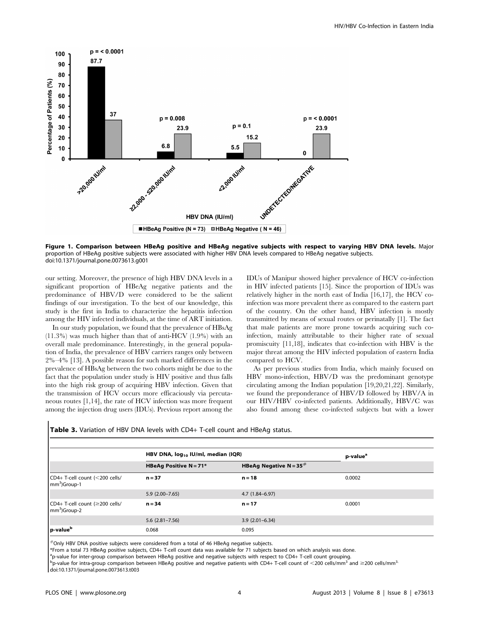

Figure 1. Comparison between HBeAg positive and HBeAg negative subjects with respect to varying HBV DNA levels. Major proportion of HBeAg positive subjects were associated with higher HBV DNA levels compared to HBeAg negative subjects. doi:10.1371/journal.pone.0073613.g001

our setting. Moreover, the presence of high HBV DNA levels in a significant proportion of HBeAg negative patients and the predominance of HBV/D were considered to be the salient findings of our investigation. To the best of our knowledge, this study is the first in India to characterize the hepatitis infection among the HIV infected individuals, at the time of ART initiation.

In our study population, we found that the prevalence of HBsAg (11.3%) was much higher than that of anti-HCV (1.9%) with an overall male predominance. Interestingly, in the general population of India, the prevalence of HBV carriers ranges only between 2%–4% [13]. A possible reason for such marked differences in the prevalence of HBsAg between the two cohorts might be due to the fact that the population under study is HIV positive and thus falls into the high risk group of acquiring HBV infection. Given that the transmission of HCV occurs more efficaciously via percutaneous routes [1,14], the rate of HCV infection was more frequent among the injection drug users (IDUs). Previous report among the IDUs of Manipur showed higher prevalence of HCV co-infection in HIV infected patients [15]. Since the proportion of IDUs was relatively higher in the north east of India [16,17], the HCV coinfection was more prevalent there as compared to the eastern part of the country. On the other hand, HBV infection is mostly transmitted by means of sexual routes or perinatally [1]. The fact that male patients are more prone towards acquiring such coinfection, mainly attributable to their higher rate of sexual promiscuity [11,18], indicates that co-infection with HBV is the major threat among the HIV infected population of eastern India compared to HCV.

As per previous studies from India, which mainly focused on HBV mono-infection, HBV/D was the predominant genotype circulating among the Indian population [19,20,21,22]. Similarly, we found the preponderance of HBV/D followed by HBV/A in our HIV/HBV co-infected patients. Additionally, HBV/C was also found among these co-infected subjects but with a lower

| Table 3. Variation of HBV DNA levels with CD4+ T-cell count and HBeAg status. |
|-------------------------------------------------------------------------------|
|                                                                               |

|                                                  | HBV DNA, log <sub>10</sub> IU/ml, median (IQR) |                              |                      |  |
|--------------------------------------------------|------------------------------------------------|------------------------------|----------------------|--|
|                                                  |                                                |                              | p-value <sup>a</sup> |  |
|                                                  | HBeAg Positive $N = 71*$                       | HBeAg Negative N = $35^{\#}$ |                      |  |
| CD4+ T-cell count (<200 cells/<br>$mm3$ )Group-1 | $n = 37$                                       | $n = 18$                     | 0.0002               |  |
|                                                  | $5.9(2.00 - 7.65)$                             | 4.7 (1.84-6.97)              |                      |  |
| CD4+ T-cell count (≥200 cells/<br>$mm3$ )Group-2 | $n = 34$                                       | $n = 17$                     | 0.0001               |  |
|                                                  | $5.6(2.81 - 7.56)$                             | $3.9(2.01 - 6.34)$           |                      |  |
| p-valueb                                         | 0.068                                          | 0.095                        |                      |  |

 $^\#$ Only HBV DNA positive subjects were considered from a total of 46 HBeAg negative subjects.

\*From a total 73 HBeAg positive subjects, CD4<sup>+</sup> T-cell count data was available for 71 subjects based on which analysis was done. <sup>a</sup>

p-value for inter-group comparison between HBeAg positive and negative subjects with respect to CD4<sup>+</sup> T-cell count grouping. <sup>b</sup>

 $^{\circ}$ p-value for intra-group comparison between HBeAg positive and negative patients with CD4+ T-cell count of  $<$ 200 cells/mm $^3$  and  $\geq$ 200 cells/mm $^3$ . doi:10.1371/journal.pone.0073613.t003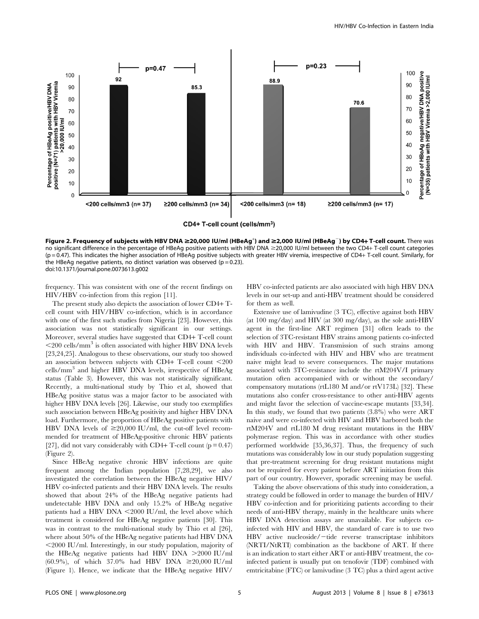

Figure 2. Frequency of subjects with HBV DNA ≥20,000 IU/ml (HBeAg<sup>+</sup>) and ≥2,000 IU/ml (HBeAg<sup>-</sup>) by CD4+ T-cell count. There was no significant difference in the percentage of HBeAg positive patients with HBV DNA ≥20,000 IU/ml between the two CD4+ T-cell count categories  $(p = 0.47)$ . This indicates the higher association of HBeAg positive subjects with greater HBV viremia, irrespective of CD4+ T-cell count. Similarly, for the HBeAg negative patients, no distinct variation was observed ( $p = 0.23$ ). doi:10.1371/journal.pone.0073613.g002

frequency. This was consistent with one of the recent findings on HIV/HBV co-infection from this region [11].

The present study also depicts the association of lower CD4+ Tcell count with HIV/HBV co-infection, which is in accordance with one of the first such studies from Nigeria [23]. However, this association was not statistically significant in our settings. Moreover, several studies have suggested that CD4+ T-cell count  $<$ 200 cells/mm<sup>3</sup> is often associated with higher HBV DNA levels [23,24,25]. Analogous to these observations, our study too showed an association between subjects with CD4+ T-cell count  $\leq$ 200 cells/mm<sup>3</sup> and higher HBV DNA levels, irrespective of HBeAg status (Table 3). However, this was not statistically significant. Recently, a multi-national study by Thio et al, showed that HBeAg positive status was a major factor to be associated with higher HBV DNA levels [26]. Likewise, our study too exemplifies such association between HBeAg positivity and higher HBV DNA load. Furthermore, the proportion of HBeAg positive patients with HBV DNA levels of  $\geq 20,000$  IU/ml, the cut-off level recommended for treatment of HBeAg-positive chronic HBV patients [27], did not vary considerably with CD4+ T-cell count  $(p = 0.47)$ (Figure 2).

Since HBeAg negative chronic HBV infections are quite frequent among the Indian population [7,28,29], we also investigated the correlation between the HBeAg negative HIV/ HBV co-infected patients and their HBV DNA levels. The results showed that about 24% of the HBeAg negative patients had undetectable HBV DNA and only 15.2% of HBeAg negative patients had a HBV DNA  $\leq$ 2000 IU/ml, the level above which treatment is considered for HBeAg negative patients [30]. This was in contrast to the multi-national study by Thio et al [26], where about 50% of the HBeAg negative patients had HBV DNA ,2000 IU/ml. Interestingly, in our study population, majority of the HBeAg negative patients had HBV DNA  $>2000$  IU/ml (60.9%), of which 37.0% had HBV DNA  $\geq 20,000$  IU/ml (Figure 1). Hence, we indicate that the HBeAg negative HIV/ HBV co-infected patients are also associated with high HBV DNA levels in our set-up and anti-HBV treatment should be considered for them as well.

Extensive use of lamivudine (3 TC), effective against both HBV (at 100 mg/day) and HIV (at 300 mg/day), as the sole anti-HBV agent in the first-line ART regimen [31] often leads to the selection of 3TC-resistant HBV strains among patients co-infected with HIV and HBV. Transmission of such strains among individuals co-infected with HIV and HBV who are treatment naive might lead to severe consequences. The major mutations associated with 3TC-resistance include the rtM204V/I primary mutation often accompanied with or without the secondary/ compensatory mutations (rtL180 M and/or rtV173L) [32]. These mutations also confer cross-resistance to other anti-HBV agents and might favor the selection of vaccine-escape mutants [33,34]. In this study, we found that two patients (3.8%) who were ART naive and were co-infected with HIV and HBV harbored both the rtM204V and rtL180 M drug resistant mutations in the HBV polymerase region. This was in accordance with other studies performed worldwide [35,36,37]. Thus, the frequency of such mutations was considerably low in our study population suggesting that pre-treatment screening for drug resistant mutations might not be required for every patient before ART initiation from this part of our country. However, sporadic screening may be useful.

Taking the above observations of this study into consideration, a strategy could be followed in order to manage the burden of HIV/ HBV co-infection and for prioritizing patients according to their needs of anti-HBV therapy, mainly in the healthcare units where HBV DNA detection assays are unavailable. For subjects coinfected with HIV and HBV, the standard of care is to use two HBV active nucleoside/-tide reverse transcriptase inhibitors (NRTI/NtRTI) combination as the backbone of ART. If there is an indication to start either ART or anti-HBV treatment, the coinfected patient is usually put on tenofovir (TDF) combined with emtricitabine (FTC) or lamivudine (3 TC) plus a third agent active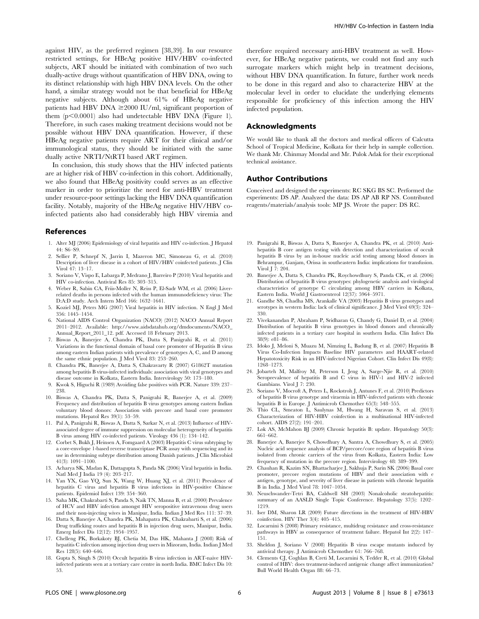against HIV, as the preferred regimen [38,39]. In our resource restricted settings, for HBeAg positive HIV/HBV co-infected subjects, ART should be initiated with combination of two such dually-active drugs without quantification of HBV DNA, owing to its distinct relationship with high HBV DNA levels. On the other hand, a similar strategy would not be that beneficial for HBeAg negative subjects. Although about 61% of HBeAg negative patients had HBV DNA  $\geq$ 2000 IU/ml, significant proportion of them  $(p<0.0001)$  also had undetectable HBV DNA (Figure 1). Therefore, in such cases making treatment decisions would not be possible without HBV DNA quantification. However, if these HBeAg negative patients require ART for their clinical and/or immunological status, they should be initiated with the same dually active NRTI/NtRTI based ART regimen.

In conclusion, this study shows that the HIV infected patients are at higher risk of HBV co-infection in this cohort. Additionally, we also found that HBeAg positivity could serves as an effective marker in order to prioritize the need for anti-HBV treatment under resource-poor settings lacking the HBV DNA quantification facility. Notably, majority of the HBeAg negative HIV/HBV coinfected patients also had considerably high HBV viremia and

#### References

- 1. Alter MJ (2006) Epidemiology of viral hepatitis and HIV co-infection. J Hepatol 44: S6–S9.
- 2. Sellier P, Schnepf N, Jarrin I, Mazeron MC, Simoneau G, et al. (2010) Description of liver disease in a cohort of HIV/HBV coinfected patients. J Clin Virol 47: 13–17.
- 3. Soriano V, Vispo E, Labarga P, Medrano J, Barreiro P (2010) Viral hepatitis and HIV co-infection. Antiviral Res 85: 303–315.
- 4. Weber R, Sabin CA, Friis-Moller N, Reiss P, El-Sadr WM, et al. (2006) Liverrelated deaths in persons infected with the human immunodeficiency virus: The D:A:D study. Arch Intern Med 166: 1632–1641.
- 5. Koziel MJ, Peters MG (2007) Viral hepatitis in HIV infection. N Engl J Med 356: 1445–1454.
- 6. National AIDS Control Organization (NACO) (2012) NACO Annual Report 2011–2012. Available: http://www.aidsdatahub.org/dmdocuments/NACO\_ Annual\_Report\_2011\_12. pdf. Accessed 18 February 2013.
- 7. Biswas A, Banerjee A, Chandra PK, Datta S, Panigrahi R, et al. (2011) Variations in the functional domain of basal core promoter of Hepatitis B virus among eastern Indian patients with prevalence of genotypes A, C, and D among the same ethnic population. J Med Virol 83: 253–260.
- 8. Chandra PK, Banerjee A, Datta S, Chakravarty R (2007) G1862T mutation among hepatitis B virus-infected individuals: association with viral genotypes and disease outcome in Kolkata, Eastern India. Intervirology 50: 173–180.
- 9. Kwok S, Higuchi R (1989) Avoiding false positives with PCR. Nature 339: 237– 238.
- 10. Biswas A, Chandra PK, Datta S, Panigrahi R, Banerjee A, et al. (2009) Frequency and distribution of hepatitis B virus genotypes among eastern Indian voluntary blood donors: Association with precore and basal core promoter mutations. Hepatol Res 39(1): 53–59.
- 11. Pal A, Panigrahi R, Biswas A, Datta S, Sarkar N, et al. (2013) Influence of HIVassociated degree of immune suppression on molecular heterogeneity of hepatitis B virus among HIV co-infected patients. Virology 436 (1): 134–142.
- 12. Corbet S, Bukh J, Heinsen A, Fomgaard A (2003) Hepatitis C virus subtyping by a core-envelope 1-based reverse transcriptase PCR assay with sequencing and its use in determining subtype distribution among Danish patients.  $\dot{J}$  Clin Microbiol 41(3): 1091–1100.
- 13. Acharya SK, Madan K, Dattagupta S, Panda SK (2006) Viral hepatitis in India. Natl Med J India 19 (4): 203–217.
- 14. Yan YX, Gao YQ, Sun X, Wang W, Huang XJ, et al. (2011) Prevalence of hepatitis C virus and hepatitis B virus infections in HIV-positive Chinese patients. Epidemiol Infect 139: 354–360.
- 15. Saha MK, Chakrabarti S, Panda S, Naik TN, Manna B, et al. (2000) Prevalence of HCV and HBV infection amongst HIV seropositive intravenous drug users and their non-injecting wives in Manipur, India. Indian J Med Res 111: 37–39.
- 16. Datta S, Banerjee A, Chandra PK, Mahapatra PK, Chakrabarti S, et al. (2006) Drug trafficking routes and hepatitis B in injection drug users, Manipur, India. Emerg Infect Dis 12(12): 1954–1957.
- 17. Chelleng PK, Borkakoty BJ, Chetia M, Das HK, Mahanta J (2008) Risk of hepatitis C infection among injection drug users in Mizoram, India. Indian J Med Res 128(5): 640–646.
- 18. Gupta S, Singh S (2010) Occult hepatitis B virus infection in ART-naive HIVinfected patients seen at a tertiary care centre in north India. BMC Infect Dis 10: 53.

therefore required necessary anti-HBV treatment as well. However, for HBeAg negative patients, we could not find any such surrogate markers which might help in treatment decisions, without HBV DNA quantification. In future, further work needs to be done in this regard and also to characterize HBV at the molecular level in order to elucidate the underlying elements responsible for proficiency of this infection among the HIV infected population.

#### Acknowledgments

We would like to thank all the doctors and medical officers of Calcutta School of Tropical Medicine, Kolkata for their help in sample collection. We thank Mr. Chinmay Mondal and Mr. Pulok Adak for their exceptional technical assistance.

## Author Contributions

Conceived and designed the experiments: RC SKG BS SC. Performed the experiments: DS AP. Analyzed the data: DS AP AB RP NS. Contributed reagents/materials/analysis tools: MP JS. Wrote the paper: DS RC.

- 19. Panigrahi R, Biswas A, Datta S, Banerjee A, Chandra PK, et al. (2010) Antihepatitis B core antigen testing with detection and characterization of occult hepatitis B virus by an in-house nucleic acid testing among blood donors in Behrampur, Ganjam, Orissa in southeastern India: implications for transfusion. Virol J 7: 204.
- 20. Banerjee A, Datta S, Chandra PK, Roychowdhury S, Panda CK, et al. (2006) Distribution of hepatitis B virus genotypes: phylogenetic analysis and virological characteristics of genotype C circulating among HBV carriers in Kolkata, Eastern India. World J Gastroenterol 12(37): 5964–5971.
- 21. Gandhe SS, Chadha MS, Arankalle VA (2003) Hepatitis B virus genotypes and serotypes in western India: lack of clinical significance. J Med Virol 69(3): 324– 330.
- 22. Vivekanandan P, Abraham P, Sridharan G, Chandy G, Daniel D, et al. (2004) Distribution of hepatitis B virus genotypes in blood donors and chronically infected patients in a tertiary care hospital in southern India. Clin Infect Dis 38(9): e81–86.
- 23. Idoko J, Meloni S, Muazu M, Nimzing L, Badung B, et al. (2007) Hepatitis B Virus Co-Infection Impacts Baseline HIV parameters and HAART-related Hepatotoxicity Risk in an HIV-infected Nigerian Cohort. Clin Infect Dis 49(8): 1268–1273.
- 24. Jobarteh M, Malfroy M, Peterson I, Jeng A, Sarge-Njie R, et al. (2010) Seroprevalence of hepatitis B and C virus in HIV-1 and HIV-2 infected Gambians. Virol I 7: 230.
- 25. Soriano V, Mocroft A, Peters L, Rockstroh J, Antunes F, et al. (2010) Predictors of hepatitis B virus genotype and viraemia in HIV-infected patients with chronic hepatitis B in Europe. J Antimicrob Chemother 65(3): 548–555.
- 26. Thio CL, Smeaton L, Saulynas M, Hwang H, Saravan S, et al. (2013) Characterization of HIV-HBV coinfection in a multinational HIV-infected cohort. AIDS 27(2): 191–201.
- 27. Lok AS, McMahon BJ (2009) Chronic hepatitis B: update. Hepatology 50(3): 661–662.
- 28. Banerjee A, Banerjee S, Chowdhury A, Santra A, Chowdhury S, et al. (2005) Nucleic acid sequence analysis of BCP/precore/core region of hepatitis B virus isolated from chronic carriers of the virus from Kolkata, Eastern India: Low frequency of mutation in the precore region. Intervirology 48: 389–399.
- 29. Chauhan R, Kazim SN, Bhattacharjee J, Sakhuja P, Sarin SK (2006) Basal core promoter, precore region mutations of HBV and their association with e antigen, genotype, and severity of liver disease in patients with chronic hepatitis B in India. J Med Virol 78: 1047–1054.
- 30. Neuschwander-Tetri BA, Caldwell SH (2003) Nonalcoholic steatohepatitis: summary of an AASLD Single Topic Conference. Hepatology 37(5): 1202– 1219.
- 31. Iser DM, Sharon LR (2009) Future directions in the treatment of HIV-HBV coinfection. HIV Ther 3(4): 405–415.
- 32. Locarnini S (2008) Primary resistance, multidrug resistance and cross-resistance pathways in HBV as consequence of treatment failure. Hepatol Int 2(2): 147– 151.
- 33. Sheldon J, Soriano V (2008) Hepatitis B virus escape mutants induced by antiviral therapy. J Antimicrob Chemother 61: 766–768.
- 34. Clements CJ, Coghlan B, Creti M, Locarnini S, Tedder R, et al. (2010) Global control of HBV: does treatment-induced antigenic change affect immunization? Bull World Health Organ 88: 66–73.